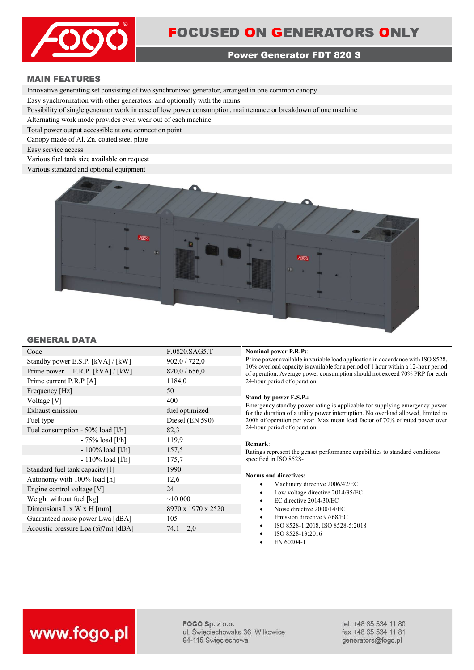

## **Power Generator FDT 820 S**

## **MAIN FEATURES**

Innovative generating set consisting of two synchronized generator, arranged in one common canopy

Easy synchronization with other generators, and optionally with the mains

Possibility of single generator work in case of low power consumption, maintenance or breakdown of one machine

Alternating work mode provides even wear out of each machine

Total power output accessible at one connection point

Canopy made of Al. Zn. coated steel plate

Easy service access

Various fuel tank size available on request

Various standard and optional equipment



## **GENERAL DATA**

| Code                                      | F.0820.SAG5.T      |
|-------------------------------------------|--------------------|
| Standby power E.S.P. [kVA] / [kW]         | 902,0 / 722,0      |
| Prime power P.R.P. [kVA] / [kW]           | 820,0/656,0        |
| Prime current P.R.P [A]                   | 1184,0             |
| Frequency [Hz]                            | 50                 |
| Voltage [V]                               | 400                |
| Exhaust emission                          | fuel optimized     |
| Fuel type                                 | Diesel (EN 590)    |
| Fuel consumption - 50% load [1/h]         | 82,3               |
| $-75%$ load [l/h]                         | 119,9              |
| - 100% load [l/h]                         | 157,5              |
| $-110\%$ load [l/h]                       | 175,7              |
| Standard fuel tank capacity [1]           | 1990               |
| Autonomy with 100% load [h]               | 12,6               |
| Engine control voltage [V]                | 24                 |
| Weight without fuel [kg]                  | ~10~000            |
| Dimensions $L \times W \times H$ [mm]     | 8970 x 1970 x 2520 |
| Guaranteed noise power Lwa [dBA]          | 105                |
| Acoustic pressure Lpa $(\omega/7m)$ [dBA] | $74.1 \pm 2.0$     |
|                                           |                    |

### **Nominal power P.R.P::**

Prime power available in variable load application in accordance with ISO 8528, 10% overload capacity is available for a period of 1 hour within a 12-hour period of operation. Average power consumption should not exceed 70% PRP for each 24-hour period of operation.

## **Stand-by power E.S.P.:**

Emergency standby power rating is applicable for supplying emergency power for the duration of a utility power interruption. No overload allowed, limited to 200h of operation per year. Max mean load factor of 70% of rated power over 24-hour period of operation.

### **Remark**:

Ratings represent the genset performance capabilities to standard conditions specified in ISO 8528-1

## **Norms and directives:**

- Machinery directive 2006/42/EC
- Low voltage directive 2014/35/EC
- EC directive 2014/30/EC
- Noise directive 2000/14/EC
- Emission directive 97/68/EC
- ISO 8528-1:2018, ISO 8528-5:2018
- ISO 8528-13:2016
- EN 60204-1

# www.fogo.pl

FOGO Sp. z o.o. ul. Świeciechowska 36, Wilkowice 64-115 Święciechowa

tel. +48 65 534 11 80 fax +48 65 534 11 81 generators@fogo.pl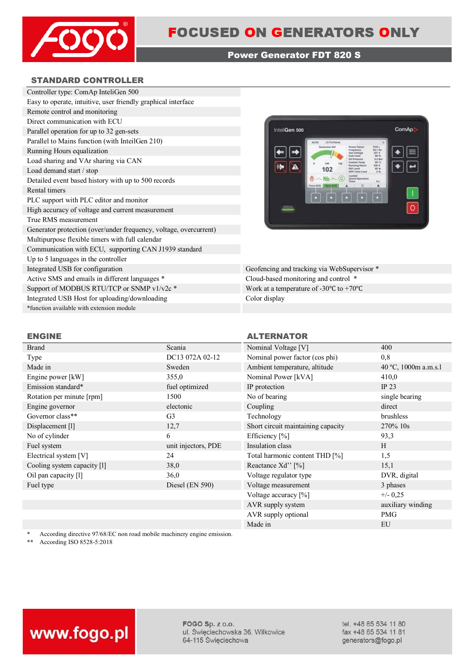

## **Power Generator FDT 820 S**

## **STANDARD CONTROLLER**



Geofencing and tracking via WebSupervisor \* Cloud-based monitoring and control \* Work at a temperature of -30°C to +70°C Color display

| .                           |                     |                                    |                     |
|-----------------------------|---------------------|------------------------------------|---------------------|
| Brand                       | Scania              | Nominal Voltage [V]                | 400                 |
| Type                        | DC13 072A 02-12     | Nominal power factor (cos phi)     | 0,8                 |
| Made in                     | Sweden              | Ambient temperature, altitude      | 40 °C, 1000m a.m.s. |
| Engine power [kW]           | 355,0               | Nominal Power [kVA]                | 410,0               |
| Emission standard*          | fuel optimized      | IP protection                      | IP $23$             |
| Rotation per minute [rpm]   | 1500                | No of bearing                      | single bearing      |
| Engine governor             | electonic           | Coupling                           | direct              |
| Governor class**            | G <sub>3</sub>      | Technology                         | brushless           |
| Displacement [1]            | 12,7                | Short circuit maintaining capacity | 270\% 10s           |
| No of cylinder              | 6                   | Efficiency [%]                     | 93,3                |
| Fuel system                 | unit injectors, PDE | Insulation class                   | H                   |
| Electrical system [V]       | 24                  | Total harmonic content THD [%]     | 1,5                 |
| Cooling system capacity [1] | 38,0                | Reactance Xd'' [%]                 | 15,1                |
| Oil pan capacity [1]        | 36,0                | Voltage regulator type             | DVR, digital        |
| Fuel type                   | Diesel (EN 590)     | Voltage measurement                | 3 phases            |

## **ENGINE ALTERNATOR**

| Nominal Voltage [V]                | 400                  |
|------------------------------------|----------------------|
| Nominal power factor (cos phi)     | 0.8                  |
| Ambient temperature, altitude      | 40 °C, 1000m a.m.s.1 |
| Nominal Power [kVA]                | 410,0                |
| IP protection                      | IP <sub>23</sub>     |
| No of bearing                      | single bearing       |
| Coupling                           | direct               |
| Technology                         | brushless            |
| Short circuit maintaining capacity | 270% 10s             |
| Efficiency $[\%]$                  | 93,3                 |
| Insulation class                   | H                    |
| Total harmonic content THD [%]     | 1,5                  |
| Reactance Xd'' [%]                 | 15,1                 |
| Voltage regulator type             | DVR, digital         |
| Voltage measurement                | 3 phases             |
| Voltage accuracy [%]               | $+/- 0,25$           |
| AVR supply system                  | auxiliary winding    |
| AVR supply optional                | <b>PMG</b>           |
| Made in                            | EU                   |
|                                    |                      |

\* According directive 97/68/EC non road mobile machinery engine emission.<br>\*\* According ISO 8528-5:2018

**\*\*** According ISO 8528-5:2018

# www.fogo.pl

FOGO Sp. z o.o. ul. Święciechowska 36, Wilkowice 64-115 Święciechowa

tel. +48 65 534 11 80 fax +48 65 534 11 81 generators@fogo.pl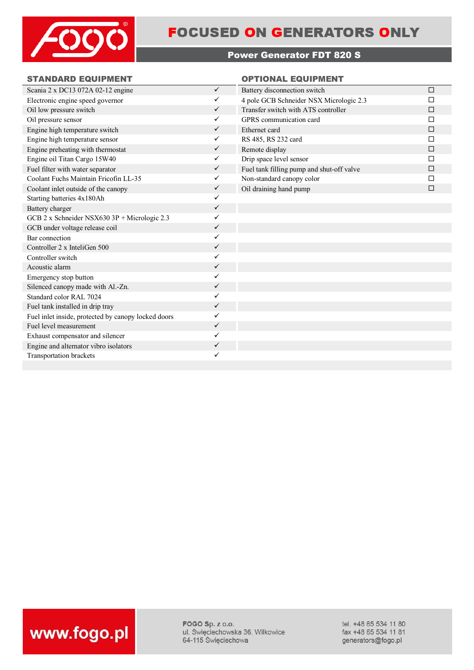

## **FOCUSED ON GENERATORS ONLY**

## **Power Generator FDT 820 S**

## **STANDARD EQUIPMENT OPTIONAL EQUIPMENT**

| Scania 2 x DC13 072A 02-12 engine                   | $\checkmark$ | Battery disconnection switch              | $\Box$ |
|-----------------------------------------------------|--------------|-------------------------------------------|--------|
| Electronic engine speed governor                    | ✓            | 4 pole GCB Schneider NSX Micrologic 2.3   |        |
| Oil low pressure switch                             | $\checkmark$ | Transfer switch with ATS controller       | □      |
| Oil pressure sensor                                 | $\checkmark$ | GPRS communication card                   | П      |
| Engine high temperature switch                      | $\checkmark$ | Ethernet card                             | П      |
| Engine high temperature sensor                      | $\checkmark$ | RS 485, RS 232 card                       | П      |
| Engine preheating with thermostat                   | $\checkmark$ | Remote display                            | □      |
| Engine oil Titan Cargo 15W40                        | ✓            | Drip space level sensor                   |        |
| Fuel filter with water separator                    | $\checkmark$ | Fuel tank filling pump and shut-off valve | □      |
| Coolant Fuchs Maintain Fricofin LL-35               | $\checkmark$ | Non-standard canopy color                 | П      |
| Coolant inlet outside of the canopy                 | $\checkmark$ | Oil draining hand pump                    | П      |
| Starting batteries 4x180Ah                          | $\checkmark$ |                                           |        |
| Battery charger                                     | $\checkmark$ |                                           |        |
| GCB 2 x Schneider NSX630 3P + Micrologic 2.3        | ✓            |                                           |        |
| GCB under voltage release coil                      | $\checkmark$ |                                           |        |
| Bar connection                                      | ✓            |                                           |        |
| Controller $2 \times$ InteliGen $500$               | $\checkmark$ |                                           |        |
| Controller switch                                   | ✓            |                                           |        |
| Acoustic alarm                                      | $\checkmark$ |                                           |        |
| Emergency stop button                               | ✓            |                                           |        |
| Silenced canopy made with Al.-Zn.                   | ✓            |                                           |        |
| Standard color RAL 7024                             | ✓            |                                           |        |
| Fuel tank installed in drip tray                    | $\checkmark$ |                                           |        |
| Fuel inlet inside, protected by canopy locked doors | ✓            |                                           |        |
| Fuel level measurement                              | $\checkmark$ |                                           |        |
| Exhaust compensator and silencer                    | ✓            |                                           |        |
| Engine and alternator vibro isolators               | ✓            |                                           |        |
| Transportation brackets                             | ✓            |                                           |        |
|                                                     |              |                                           |        |



FOGO Sp. z o.o. ul. Święciechowska 36, Wilkowice 64-115 Święciechowa

tel. +48 65 534 11 80 fax +48 65 534 11 81 generators@fogo.pl